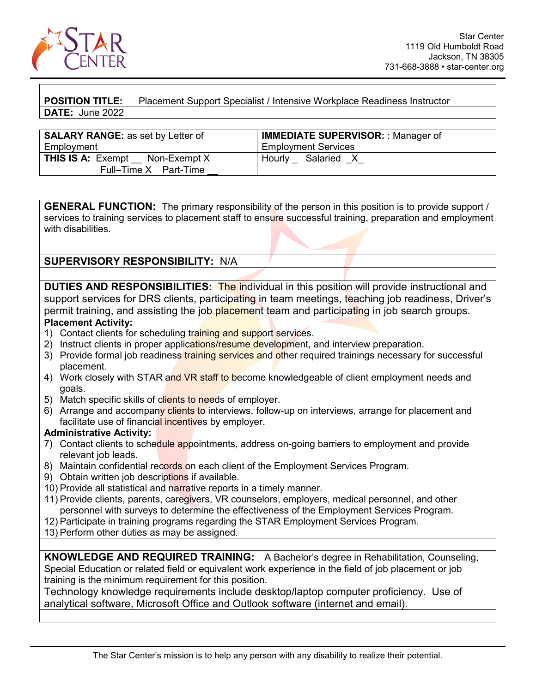

**POSITION TITLE:** Placement Support Specialist / Intensive Workplace Readiness Instructor **DATE:** June 2022

| <b>SALARY RANGE:</b> as set by Letter of | <b>IMMEDIATE SUPERVISOR:: Manager of</b> |
|------------------------------------------|------------------------------------------|
| Employment                               | <b>Employment Services</b>               |
| <b>THIS IS A: Exempt</b><br>Non-Exempt X | Salaried<br>Hourly                       |
| Full-Time X Part-Time                    |                                          |

**GENERAL FUNCTION:** The primary responsibility of the person in this position is to provide support / services to training services to placement staff to ensure successful training, preparation and employment with disabilities

**SUPERVISORY RESPONSIBILITY:** N/A

**DUTIES AND RESPONSIBILITIES:** The individual in this position will provide instructional and support services for DRS clients, participating in team meetings, teaching job readiness, Driver's permit training, and assisting the job placement team and participating in job search groups.

## **Placement Activity:**

- 1) Contact clients for scheduling training and support services.
- 2) Instruct clients in proper applications/resume development, and interview preparation.
- 3) Provide formal job readiness training services and other required trainings necessary for successful placement.
- 4) Work closely with STAR and VR staff to become knowledgeable of client employment needs and goals.
- 5) Match specific skills of clients to needs of employer.
- 6) Arrange and accompany clients to interviews, follow-up on interviews, arrange for placement and facilitate use of financial incentives by employer.

## **Administrative Activity:**

- 7) Contact clients to schedule appointments, address on-going barriers to employment and provide relevant job leads.
- 8) Maintain confidential records on each client of the Employment Services Program.
- 9) Obtain written job descriptions if available.
- 10) Provide all statistical and narrative reports in a timely manner.
- 11) Provide clients, parents, caregivers, VR counselors, employers, medical personnel, and other personnel with surveys to determine the effectiveness of the Employment Services Program.
- 12) Participate in training programs regarding the STAR Employment Services Program.
- 13) Perform other duties as may be assigned.

**KNOWLEDGE AND REQUIRED TRAINING:** A Bachelor's degree in Rehabilitation, Counseling, Special Education or related field or equivalent work experience in the field of job placement or job training is the minimum requirement for this position.

Technology knowledge requirements include desktop/laptop computer proficiency. Use of analytical software, Microsoft Office and Outlook software (internet and email).